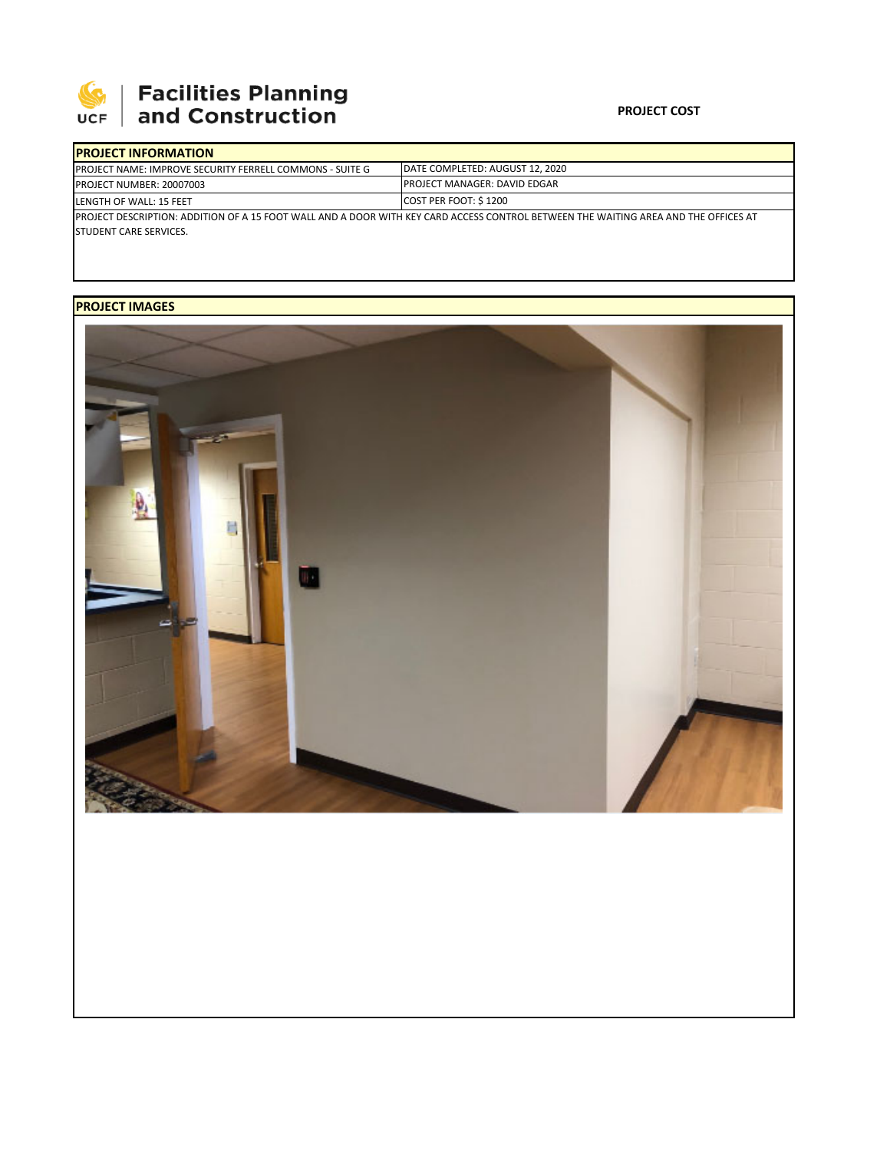

# | Facilities Planning<br>| and Construction

### **PROJECT COST**

| <b>IPROJECT INFORMATION</b>                                                                                                          |                                      |  |  |  |
|--------------------------------------------------------------------------------------------------------------------------------------|--------------------------------------|--|--|--|
| <b>IPROJECT NAME: IMPROVE SECURITY FERRELL COMMONS - SUITE G</b>                                                                     | IDATE COMPLETED: AUGUST 12, 2020     |  |  |  |
| <b>PROJECT NUMBER: 20007003</b>                                                                                                      | <b>IPROJECT MANAGER: DAVID EDGAR</b> |  |  |  |
| LENGTH OF WALL: 15 FEET                                                                                                              | COST PER FOOT: \$1200                |  |  |  |
| IPROJECT DESCRIPTION: ADDITION OF A 15 FOOT WALL AND A DOOR WITH KEY CARD ACCESS CONTROL BETWEEN THE WAITING AREA AND THE OFFICES AT |                                      |  |  |  |
| <b>STUDENT CARE SERVICES.</b>                                                                                                        |                                      |  |  |  |

## **PROJECT IMAGES**